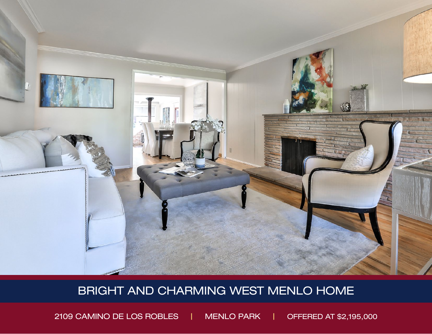

## BRIGHT AND CHARMING WEST MENLO HOME

2109 CAMINO DE LOS ROBLES | MENLO PARK | OFFERED AT \$2,195,000